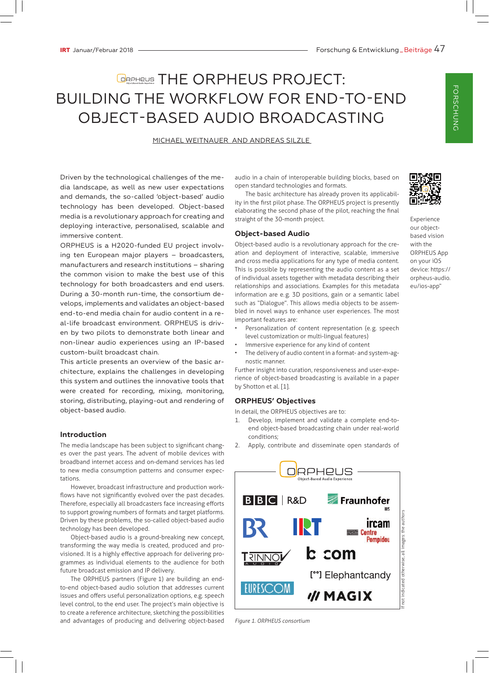# **GRAPHE ORPHEUS PROJECT:** BUILDING THE WORKFLOW FOR END-TO-END OBJECT-BASED AUDIO BROADCASTING

## MICHAEL WEITNAUER AND ANDREAS SILZLE

Driven by the technological challenges of the media landscape, as well as new user expectations and demands, the so-called 'object-based' audio technology has been developed. Object-based media is a revolutionary approach for creating and deploying interactive, personalised, scalable and immersive content.

ORPHEUS is a H2020-funded EU project involving ten European major players – broadcasters, manufacturers and research institutions – sharing the common vision to make the best use of this technology for both broadcasters and end users. During a 30-month run-time, the consortium develops, implements and validates an object-based end-to-end media chain for audio content in a real-life broadcast environment. ORPHEUS is driven by two pilots to demonstrate both linear and non-linear audio experiences using an IP-based custom-built broadcast chain.

This article presents an overview of the basic architecture, explains the challenges in developing this system and outlines the innovative tools that were created for recording, mixing, monitoring, storing, distributing, playing-out and rendering of object-based audio.

## **Introduction**

The media landscape has been subject to significant changes over the past years. The advent of mobile devices with broadband internet access and on-demand services has led to new media consumption patterns and consumer expectations.

However, broadcast infrastructure and production workflows have not significantly evolved over the past decades. Therefore, especially all broadcasters face increasing efforts to support growing numbers of formats and target platforms. Driven by these problems, the so-called object-based audio technology has been developed.

Object-based audio is a ground-breaking new concept, transforming the way media is created, produced and provisioned. It is a highly effective approach for delivering programmes as individual elements to the audience for both future broadcast emission and IP delivery.

The ORPHEUS partners (Figure  1) are building an endto-end object-based audio solution that addresses current issues and offers useful personalization options, e.g. speech level control, to the end user. The project's main objective is to create a reference architecture, sketching the possibilities and advantages of producing and delivering object-based audio in a chain of interoperable building blocks, based on open standard technologies and formats.

The basic architecture has already proven its applicability in the first pilot phase. The ORPHEUS project is presently elaborating the second phase of the pilot, reaching the final straight of the 30-month project.

## **Object-based Audio**

Object-based audio is a revolutionary approach for the creation and deployment of interactive, scalable, immersive and cross media applications for any type of media content. This is possible by representing the audio content as a set of individual assets together with metadata describing their relationships and associations. Examples for this metadata information are e.g. 3D positions, gain or a semantic label such as "Dialogue". This allows media objects to be assembled in novel ways to enhance user experiences. The most important features are:



Experience our objectbased vision with the ORPHEUS App on your iOS device: https:// orpheus-audio. eu/ios-app"

- Personalization of content representation (e.g. speech level customization or multi-lingual features)
- Immersive experience for any kind of content
- The delivery of audio content in a format- and system-agnostic manner.

Further insight into curation, responsiveness and user-experience of object-based broadcasting is available in a paper by Shotton et al. [1].

#### **ORPHEUS' Objectives**

In detail, the ORPHEUS objectives are to:

- 1. Develop, implement and validate a complete end-toend object-based broadcasting chain under real-world conditions;
- 2. Apply, contribute and disseminate open standards of



*Figure 1. ORPHEUS consortium*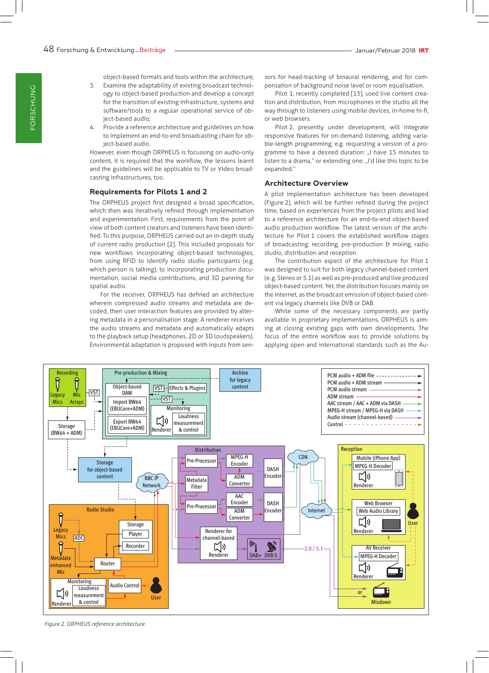object-based formats and tools within the architecture;

- 3. Examine the adaptability of existing broadcast technology to object-based production and develop a concept for the transition of existing infrastructure, systems and software/tools to a regular operational service of object-based audio;
- 4. Provide a reference architecture and guidelines on how to implement an end-to-end broadcasting chain for object-based audio.

However, even though ORPHEUS is focussing on audio-only content, it is required that the workflow, the lessons learnt and the guidelines will be applicable to TV or Video broadcasting infrastructures, too.

## **Requirements for Pilots 1 and 2**

The ORPHEUS project first designed a broad specification, which then was iteratively refined through implementation and experimentation. First, requirements from the point of view of both content creators and listeners have been identified. To this purpose, ORPHEUS carried out an in-depth study of current radio production [2]. This included proposals for new workflows incorporating object-based technologies, from using RFID to identify radio studio participants (e.g. which person is talking), to incorporating production documentation, social media contributions, and 3D panning for spatial audio.

For the receiver, ORPHEUS has defined an architecture wherein compressed audio streams and metadata are decoded, then user interaction features are provided by altering metadata in a personalisation stage. A renderer receives the audio streams and metadata and automatically adapts to the playback setup (headphones, 2D or 3D loudspeakers). Environmental adaptation is proposed with inputs from sensors for head-tracking of binaural rendering, and for compensation of background noise level or room equalisation.

Pilot 1, recently completed [13], used live content creation and distribution, from microphones in the studio all the way through to listeners using mobile devices, in-home hi-fi, or web browsers.

Pilot  2, presently under development, will integrate responsive features for on-demand listening, adding variable-length programming, e.g. requesting a version of a programme to have a desired duration: "I have 15 minutes to listen to a drama," or extending one: "I'd like this topic to be expanded."

#### **Architecture Overview**

A pilot implementation architecture has been developed (Figure  2), which will be further refined during the project time, based on experiences from the project pilots and lead to a reference architecture for an end-to-end object-based audio production workflow. The latest version of the architecture for Pilot  1 covers the established workflow stages of broadcasting: recording, pre-production & mixing, radio studio, distribution and reception.

The contribution aspect of the architecture for Pilot  1 was designed to suit for both legacy channel-based content (e.g. Stereo or 5.1) as well as pre-produced and live produced object-based content. Yet, the distribution focuses mainly on the Internet, as the broadcast emission of object-based content via legacy channels like DVB or DAB.

While some of the necessary components are partly available in proprietary implementations, ORPHEUS is aiming at closing existing gaps with own developments. The focus of the entire workflow was to provide solutions by applying open and international standards such as the Au-



*Figure 2. ORPHEUS reference architecture*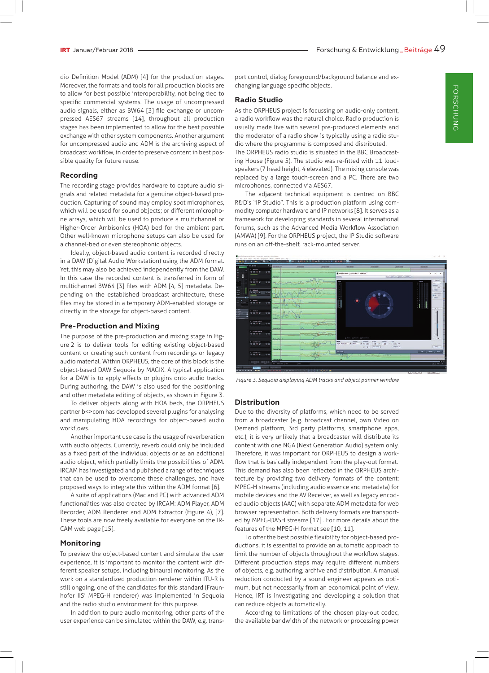dio Definition Model (ADM) [4] for the production stages. Moreover, the formats and tools for all production blocks are to allow for best possible interoperability, not being tied to specific commercial systems. The usage of uncompressed audio signals, either as BW64 [3] file exchange or uncompressed AES67 streams [14], throughout all production stages has been implemented to allow for the best possible exchange with other system components. Another argument for uncompressed audio and ADM is the archiving aspect of broadcast workflow, in order to preserve content in best possible quality for future reuse.

#### **Recording**

The recording stage provides hardware to capture audio signals and related metadata for a genuine object-based production. Capturing of sound may employ spot microphones, which will be used for sound objects; or different microphone arrays, which will be used to produce a multichannel or Higher-Order Ambisonics (HOA) bed for the ambient part. Other well-known microphone setups can also be used for a channel-bed or even stereophonic objects.

Ideally, object-based audio content is recorded directly in a DAW (Digital Audio Workstation) using the ADM format. Yet, this may also be achieved independently from the DAW. In this case the recorded content is transferred in form of multichannel BW64 [3] files with ADM [4, 5] metadata. Depending on the established broadcast architecture, these files may be stored in a temporary ADM-enabled storage or directly in the storage for object-based content.

#### **Pre-Production and Mixing**

The purpose of the pre-production and mixing stage in Figure  2 is to deliver tools for editing existing object-based content or creating such content from recordings or legacy audio material. Within ORPHEUS, the core of this block is the object-based DAW Sequoia by MAGIX. A typical application for a DAW is to apply effects or plugins onto audio tracks. During authoring, the DAW is also used for the positioning and other metadata editing of objects, as shown in Figure  3.

To deliver objects along with HOA beds, the ORPHEUS partner b <> com has developed several plugins for analysing and manipulating HOA recordings for object-based audio workflows.

Another important use case is the usage of reverberation with audio objects. Currently, reverb could only be included as a fixed part of the individual objects or as an additional audio object, which partially limits the possibilities of ADM. IRCAM has investigated and published a range of techniques that can be used to overcome these challenges, and have proposed ways to integrate this within the ADM format [6].

A suite of applications (Mac and PC) with advanced ADM functionalities was also created by IRCAM: ADM Player, ADM Recorder, ADM Renderer and ADM Extractor (Figure 4), [7]. These tools are now freely available for everyone on the IR-CAM web page [15].

#### **Monitoring**

To preview the object-based content and simulate the user experience, it is important to monitor the content with different speaker setups, including binaural monitoring. As the work on a standardized production renderer within ITU-R is still ongoing, one of the candidates for this standard (Fraunhofer IIS' MPEG-H renderer) was implemented in Sequoia and the radio studio environment for this purpose.

In addition to pure audio monitoring, other parts of the user experience can be simulated within the DAW, e.g. transport control, dialog foreground/background balance and exchanging language specific objects.

#### **Radio Studio**

As the ORPHEUS project is focussing on audio-only content, a radio workflow was the natural choice. Radio production is usually made live with several pre-produced elements and the moderator of a radio show is typically using a radio studio where the programme is composed and distributed.

The ORPHEUS radio studio is situated in the BBC Broadcasting House (Figure  5). The studio was re-fitted with 11 loudspeakers (7 head height, 4 elevated). The mixing console was replaced by a large touch-screen and a PC. There are two microphones, connected via AES67.

The adjacent technical equipment is centred on BBC R&D's "IP Studio". This is a production platform using commodity computer hardware and IP networks [8]. It serves as a framework for developing standards in several international forums, such as the Advanced Media Workflow Association (AMWA) [9]. For the ORPHEUS project, the IP Studio software runs on an off-the-shelf, rack-mounted server.



*Figure 3. Sequoia displaying ADM tracks and object panner window*

## **Distribution**

Due to the diversity of platforms, which need to be served from a broadcaster (e.g. broadcast channel, own Video on Demand platform, 3rd party platforms, smartphone apps, etc.), it is very unlikely that a broadcaster will distribute its content with one NGA (Next Generation Audio) system only. Therefore, it was important for ORPHEUS to design a workflow that is basically independent from the play-out format. This demand has also been reflected in the ORPHEUS architecture by providing two delivery formats of the content: MPEG-H streams (including audio essence and metadata) for mobile devices and the AV Receiver, as well as legacy encoded audio objects (AAC) with separate ADM metadata for web browser representation. Both delivery formats are transported by MPEG-DASH streams [17] . For more details about the features of the MPEG-H format see [10, 11].

To offer the best possible flexibility for object-based productions, it is essential to provide an automatic approach to limit the number of objects throughout the workflow stages. Different production steps may require different numbers of objects, e.g. authoring, archive and distribution. A manual reduction conducted by a sound engineer appears as optimum, but not necessarily from an economical point of view. Hence, IRT is investigating and developing a solution that can reduce objects automatically.

According to limitations of the chosen play-out codec, the available bandwidth of the network or processing power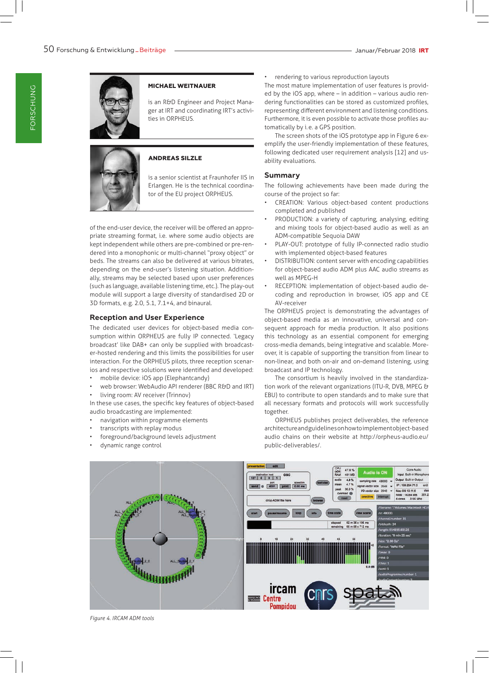

## **MICHAEL WEITNAUER**

is an R&D Engineer and Project Manager at IRT and coordinating IRT's activities in ORPHEUS.



#### **ANDREAS SILZLE**

is a senior scientist at Fraunhofer IIS in Erlangen. He is the technical coordinator of the EU project ORPHEUS.

of the end-user device, the receiver will be offered an appropriate streaming format, i.e. where some audio objects are kept independent while others are pre-combined or pre-rendered into a monophonic or multi-channel "proxy object" or beds. The streams can also be delivered at various bitrates, depending on the end-user's listening situation. Additionally, streams may be selected based upon user preferences (such as language, available listening time, etc.). The play-out module will support a large diversity of standardised 2D or 3D formats, e.g. 2.0, 5.1, 7.1+4, and binaural.

## **Reception and User Experience**

The dedicated user devices for object-based media consumption within ORPHEUS are fully IP connected. 'Legacy broadcast' like DAB+ can only be supplied with broadcaster-hosted rendering and this limits the possibilities for user interaction. For the ORPHEUS pilots, three reception scenarios and respective solutions were identified and developed:

- mobile device: iOS app (Elephantcandy)
- web browser: WebAudio API renderer (BBC R&D and IRT)
- living room: AV receiver (Trinnov)

In these use cases, the specific key features of object-based audio broadcasting are implemented:

- navigation within programme elements
- transcripts with replay modus
- foreground/background levels adjustment
- dynamic range control

• rendering to various reproduction layouts

The most mature implementation of user features is provided by the iOS app, where – in addition – various audio rendering functionalities can be stored as customized profiles, representing different environment and listening conditions. Furthermore, it is even possible to activate those profiles automatically by i.e. a GPS position.

The screen shots of the iOS prototype app in Figure 6 exemplify the user-friendly implementation of these features, following dedicated user requirement analysis [12] and usability evaluations.

## **Summary**

The following achievements have been made during the course of the project so far:

- CREATION: Various object-based content productions completed and published
- PRODUCTION: a variety of capturing, analysing, editing and mixing tools for object-based audio as well as an ADM-compatible Sequoia DAW
- PLAY-OUT: prototype of fully IP-connected radio studio with implemented object-based features
- DISTRIBUTION: content server with encoding capabilities for object-based audio ADM plus AAC audio streams as well as MPEG-H
- RECEPTION: implementation of object-based audio decoding and reproduction in browser, iOS app and CE AV-receiver

The ORPHEUS project is demonstrating the advantages of object-based media as an innovative, universal and consequent approach for media production. It also positions this technology as an essential component for emerging cross-media demands, being integrative and scalable. Moreover, it is capable of supporting the transition from linear to non-linear, and both on-air and on-demand listening, using broadcast and IP technology.

The consortium is heavily involved in the standardization work of the relevant organizations (ITU-R, DVB, MPEG & EBU) to contribute to open standards and to make sure that all necessary formats and protocols will work successfully together.

ORPHEUS publishes project deliverables, the reference architecture and guidelines on how to implement object-based audio chains on their website at http://orpheus-audio.eu/ public-deliverables/.



*Figure 4. IRCAM ADM tools*